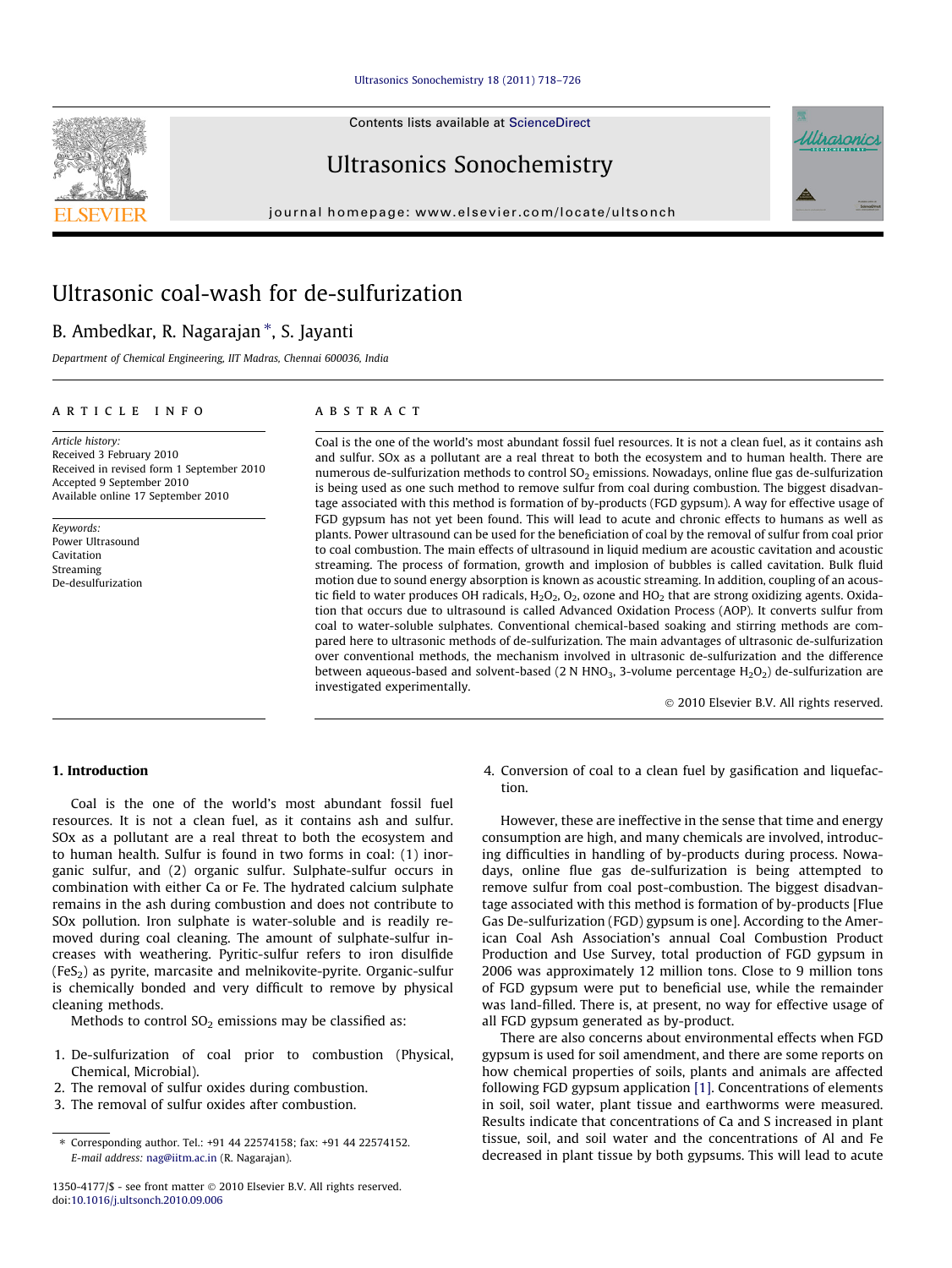Contents lists available at ScienceDirect

## Ultrasonics Sonochemistry

journal homepage: www.elsevier.com/locate/ultsonch

# Ultrasonic coal-wash for de-sulfurization

## B. Ambedkar, R. Nagarajan \*, S. Jayanti

*Department of Chemical Engineering, IIT Madras, Chennai 600036, India*

## article info

*Article history:* Received 3 February 2010 Received in revised form 1 September 2010 Accepted 9 September 2010 Available online 17 September 2010

*Keywords:* Power Ultrasound Cavitation Streaming De-desulfurization

## **ABSTRACT**

Coal is the one of the world's most abundant fossil fuel resources. It is not a clean fuel, as it contains ash and sulfur. SOx as a pollutant are a real threat to both the ecosystem and to human health. There are numerous de-sulfurization methods to control  $SO<sub>2</sub>$  emissions. Nowadays, online flue gas de-sulfurization is being used as one such method to remove sulfur from coal during combustion. The biggest disadvantage associated with this method is formation of by-products (FGD gypsum). A way for effective usage of FGD gypsum has not yet been found. This will lead to acute and chronic effects to humans as well as plants. Power ultrasound can be used for the beneficiation of coal by the removal of sulfur from coal prior to coal combustion. The main effects of ultrasound in liquid medium are acoustic cavitation and acoustic streaming. The process of formation, growth and implosion of bubbles is called cavitation. Bulk fluid motion due to sound energy absorption is known as acoustic streaming. In addition, coupling of an acoustic field to water produces OH radicals,  $H_2O_2$ ,  $O_2$ , ozone and  $HO_2$  that are strong oxidizing agents. Oxidation that occurs due to ultrasound is called Advanced Oxidation Process (AOP). It converts sulfur from coal to water-soluble sulphates. Conventional chemical-based soaking and stirring methods are compared here to ultrasonic methods of de-sulfurization. The main advantages of ultrasonic de-sulfurization over conventional methods, the mechanism involved in ultrasonic de-sulfurization and the difference between aqueous-based and solvent-based (2 N HNO<sub>3</sub>, 3-volume percentage  $H_2O_2$ ) de-sulfurization are investigated experimentally.

 $@$  2010 Elsevier B.V. All rights reserved.

## 1. Introduction

Coal is the one of the world's most abundant fossil fuel resources. It is not a clean fuel, as it contains ash and sulfur. SOx as a pollutant are a real threat to both the ecosystem and to human health. Sulfur is found in two forms in coal: (1) inorganic sulfur, and (2) organic sulfur. Sulphate-sulfur occurs in combination with either Ca or Fe. The hydrated calcium sulphate remains in the ash during combustion and does not contribute to SOx pollution. Iron sulphate is water-soluble and is readily removed during coal cleaning. The amount of sulphate-sulfur increases with weathering. Pyritic-sulfur refers to iron disulfide  $(Fes<sub>2</sub>)$  as pyrite, marcasite and melnikovite-pyrite. Organic-sulfur is chemically bonded and very difficult to remove by physical cleaning methods.

Methods to control  $SO<sub>2</sub>$  emissions may be classified as:

- 1. De-sulfurization of coal prior to combustion (Physical, Chemical, Microbial).
- 2. The removal of sulfur oxides during combustion.

3. The removal of sulfur oxides after combustion.

4. Conversion of coal to a clean fuel by gasification and liquefaction.

However, these are ineffective in the sense that time and energy consumption are high, and many chemicals are involved, introducing difficulties in handling of by-products during process. Nowadays, online flue gas de-sulfurization is being attempted to remove sulfur from coal post-combustion. The biggest disadvantage associated with this method is formation of by-products [Flue Gas De-sulfurization (FGD) gypsum is one]. According to the American Coal Ash Association's annual Coal Combustion Product Production and Use Survey, total production of FGD gypsum in 2006 was approximately 12 million tons. Close to 9 million tons of FGD gypsum were put to beneficial use, while the remainder was land-filled. There is, at present, no way for effective usage of all FGD gypsum generated as by-product.

There are also concerns about environmental effects when FGD gypsum is used for soil amendment, and there are some reports on how chemical properties of soils, plants and animals are affected following FGD gypsum application [1]. Concentrations of elements in soil, soil water, plant tissue and earthworms were measured. Results indicate that concentrations of Ca and S increased in plant tissue, soil, and soil water and the concentrations of Al and Fe decreased in plant tissue by both gypsums. This will lead to acute





<sup>⇑</sup> Corresponding author. Tel.: +91 44 22574158; fax: +91 44 22574152. *E-mail address:* nag@iitm.ac.in (R. Nagarajan).

<sup>1350-4177/\$ -</sup> see front matter @ 2010 Elsevier B.V. All rights reserved. doi:10.1016/j.ultsonch.2010.09.006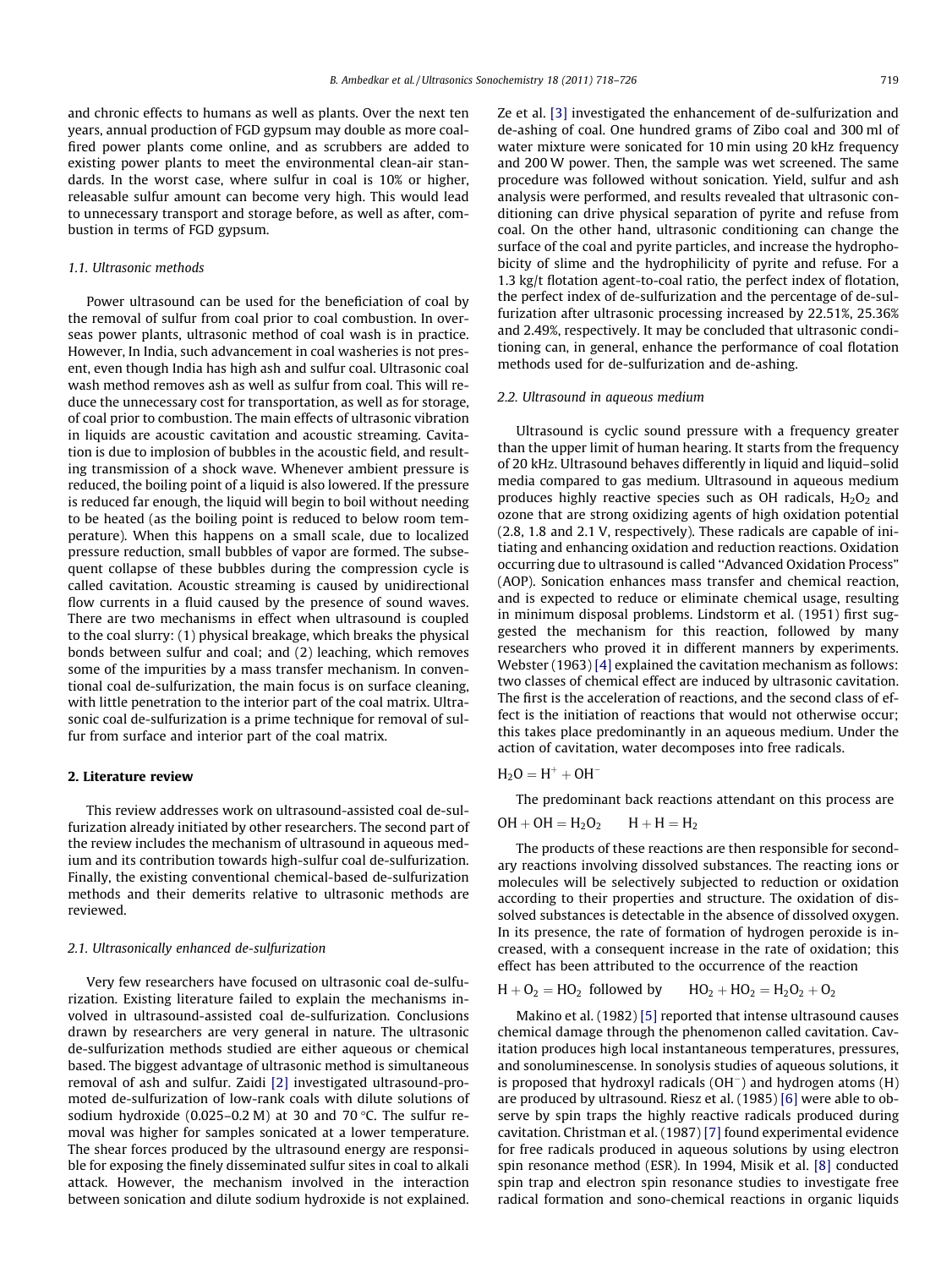and chronic effects to humans as well as plants. Over the next ten years, annual production of FGD gypsum may double as more coalfired power plants come online, and as scrubbers are added to existing power plants to meet the environmental clean-air standards. In the worst case, where sulfur in coal is 10% or higher, releasable sulfur amount can become very high. This would lead to unnecessary transport and storage before, as well as after, combustion in terms of FGD gypsum.

## *1.1. Ultrasonic methods*

Power ultrasound can be used for the beneficiation of coal by the removal of sulfur from coal prior to coal combustion. In overseas power plants, ultrasonic method of coal wash is in practice. However, In India, such advancement in coal washeries is not present, even though India has high ash and sulfur coal. Ultrasonic coal wash method removes ash as well as sulfur from coal. This will reduce the unnecessary cost for transportation, as well as for storage, of coal prior to combustion. The main effects of ultrasonic vibration in liquids are acoustic cavitation and acoustic streaming. Cavitation is due to implosion of bubbles in the acoustic field, and resulting transmission of a shock wave. Whenever ambient pressure is reduced, the boiling point of a liquid is also lowered. If the pressure is reduced far enough, the liquid will begin to boil without needing to be heated (as the boiling point is reduced to below room temperature). When this happens on a small scale, due to localized pressure reduction, small bubbles of vapor are formed. The subsequent collapse of these bubbles during the compression cycle is called cavitation. Acoustic streaming is caused by unidirectional flow currents in a fluid caused by the presence of sound waves. There are two mechanisms in effect when ultrasound is coupled to the coal slurry: (1) physical breakage, which breaks the physical bonds between sulfur and coal; and (2) leaching, which removes some of the impurities by a mass transfer mechanism. In conventional coal de-sulfurization, the main focus is on surface cleaning, with little penetration to the interior part of the coal matrix. Ultrasonic coal de-sulfurization is a prime technique for removal of sulfur from surface and interior part of the coal matrix.

## 2. Literature review

This review addresses work on ultrasound-assisted coal de-sulfurization already initiated by other researchers. The second part of the review includes the mechanism of ultrasound in aqueous medium and its contribution towards high-sulfur coal de-sulfurization. Finally, the existing conventional chemical-based de-sulfurization methods and their demerits relative to ultrasonic methods are reviewed.

## *2.1. Ultrasonically enhanced de-sulfurization*

Very few researchers have focused on ultrasonic coal de-sulfurization. Existing literature failed to explain the mechanisms involved in ultrasound-assisted coal de-sulfurization. Conclusions drawn by researchers are very general in nature. The ultrasonic de-sulfurization methods studied are either aqueous or chemical based. The biggest advantage of ultrasonic method is simultaneous removal of ash and sulfur. Zaidi [2] investigated ultrasound-promoted de-sulfurization of low-rank coals with dilute solutions of sodium hydroxide (0.025–0.2 M) at 30 and 70  $\degree$ C. The sulfur removal was higher for samples sonicated at a lower temperature. The shear forces produced by the ultrasound energy are responsible for exposing the finely disseminated sulfur sites in coal to alkali attack. However, the mechanism involved in the interaction between sonication and dilute sodium hydroxide is not explained.

Ze et al. [3] investigated the enhancement of de-sulfurization and de-ashing of coal. One hundred grams of Zibo coal and 300 ml of water mixture were sonicated for 10 min using 20 kHz frequency and 200 W power. Then, the sample was wet screened. The same procedure was followed without sonication. Yield, sulfur and ash analysis were performed, and results revealed that ultrasonic conditioning can drive physical separation of pyrite and refuse from coal. On the other hand, ultrasonic conditioning can change the surface of the coal and pyrite particles, and increase the hydrophobicity of slime and the hydrophilicity of pyrite and refuse. For a 1.3 kg/t flotation agent-to-coal ratio, the perfect index of flotation, the perfect index of de-sulfurization and the percentage of de-sulfurization after ultrasonic processing increased by 22.51%, 25.36% and 2.49%, respectively. It may be concluded that ultrasonic conditioning can, in general, enhance the performance of coal flotation methods used for de-sulfurization and de-ashing.

#### *2.2. Ultrasound in aqueous medium*

Ultrasound is cyclic sound pressure with a frequency greater than the upper limit of human hearing. It starts from the frequency of 20 kHz. Ultrasound behaves differently in liquid and liquid–solid media compared to gas medium. Ultrasound in aqueous medium produces highly reactive species such as OH radicals,  $H_2O_2$  and ozone that are strong oxidizing agents of high oxidation potential (2.8, 1.8 and 2.1 V, respectively). These radicals are capable of initiating and enhancing oxidation and reduction reactions. Oxidation occurring due to ultrasound is called ''Advanced Oxidation Process" (AOP). Sonication enhances mass transfer and chemical reaction, and is expected to reduce or eliminate chemical usage, resulting in minimum disposal problems. Lindstorm et al. (1951) first suggested the mechanism for this reaction, followed by many researchers who proved it in different manners by experiments. Webster (1963) [4] explained the cavitation mechanism as follows: two classes of chemical effect are induced by ultrasonic cavitation. The first is the acceleration of reactions, and the second class of effect is the initiation of reactions that would not otherwise occur; this takes place predominantly in an aqueous medium. Under the action of cavitation, water decomposes into free radicals.

$$
H_2O=H^++OH^-
$$

The predominant back reactions attendant on this process are

$$
OH + OH = H2O2 \qquad H + H = H2
$$

The products of these reactions are then responsible for secondary reactions involving dissolved substances. The reacting ions or molecules will be selectively subjected to reduction or oxidation according to their properties and structure. The oxidation of dissolved substances is detectable in the absence of dissolved oxygen. In its presence, the rate of formation of hydrogen peroxide is increased, with a consequent increase in the rate of oxidation; this effect has been attributed to the occurrence of the reaction

$$
H + O2 = HO2 followed by 
$$
HO2 + HO2 = H2O2 + O2
$$
$$

Makino et al. (1982) [5] reported that intense ultrasound causes chemical damage through the phenomenon called cavitation. Cavitation produces high local instantaneous temperatures, pressures, and sonoluminescense. In sonolysis studies of aqueous solutions, it is proposed that hydroxyl radicals  $(OH^{-})$  and hydrogen atoms  $(H)$ are produced by ultrasound. Riesz et al. (1985) [6] were able to observe by spin traps the highly reactive radicals produced during cavitation. Christman et al. (1987) [7] found experimental evidence for free radicals produced in aqueous solutions by using electron spin resonance method (ESR). In 1994, Misik et al. [8] conducted spin trap and electron spin resonance studies to investigate free radical formation and sono-chemical reactions in organic liquids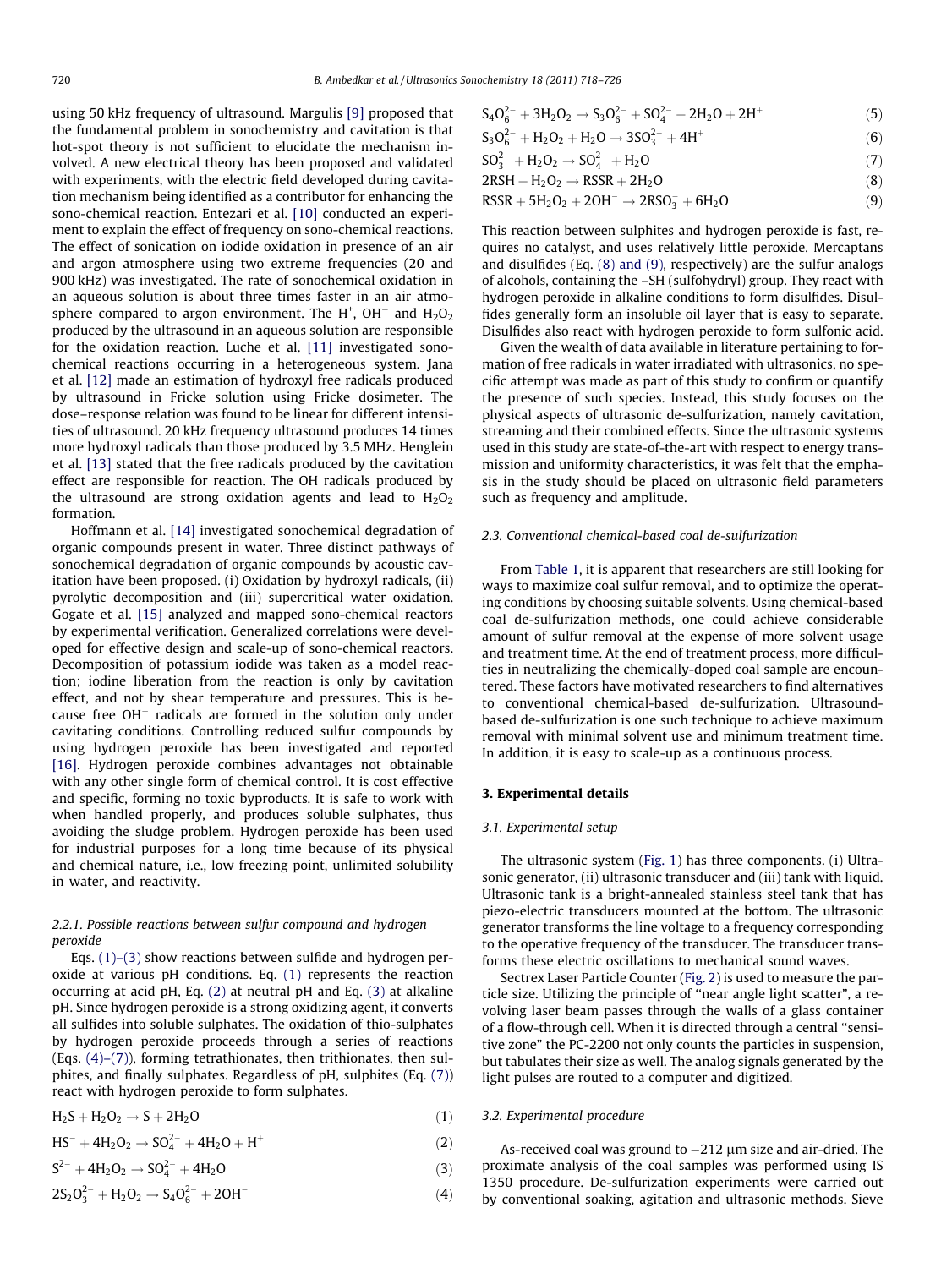using 50 kHz frequency of ultrasound. Margulis [9] proposed that the fundamental problem in sonochemistry and cavitation is that hot-spot theory is not sufficient to elucidate the mechanism involved. A new electrical theory has been proposed and validated with experiments, with the electric field developed during cavitation mechanism being identified as a contributor for enhancing the sono-chemical reaction. Entezari et al. [10] conducted an experiment to explain the effect of frequency on sono-chemical reactions. The effect of sonication on iodide oxidation in presence of an air and argon atmosphere using two extreme frequencies (20 and 900 kHz) was investigated. The rate of sonochemical oxidation in an aqueous solution is about three times faster in an air atmosphere compared to argon environment. The H<sup>+</sup>, OH<sup>-</sup> and  $H_2O_2$ produced by the ultrasound in an aqueous solution are responsible for the oxidation reaction. Luche et al. [11] investigated sonochemical reactions occurring in a heterogeneous system. Jana et al. [12] made an estimation of hydroxyl free radicals produced by ultrasound in Fricke solution using Fricke dosimeter. The dose–response relation was found to be linear for different intensities of ultrasound. 20 kHz frequency ultrasound produces 14 times more hydroxyl radicals than those produced by 3.5 MHz. Henglein et al. [13] stated that the free radicals produced by the cavitation effect are responsible for reaction. The OH radicals produced by the ultrasound are strong oxidation agents and lead to  $H_2O_2$ formation.

Hoffmann et al. [14] investigated sonochemical degradation of organic compounds present in water. Three distinct pathways of sonochemical degradation of organic compounds by acoustic cavitation have been proposed. (i) Oxidation by hydroxyl radicals, (ii) pyrolytic decomposition and (iii) supercritical water oxidation. Gogate et al. [15] analyzed and mapped sono-chemical reactors by experimental verification. Generalized correlations were developed for effective design and scale-up of sono-chemical reactors. Decomposition of potassium iodide was taken as a model reaction; iodine liberation from the reaction is only by cavitation effect, and not by shear temperature and pressures. This is because free OH<sup>-</sup> radicals are formed in the solution only under cavitating conditions. Controlling reduced sulfur compounds by using hydrogen peroxide has been investigated and reported [16]. Hydrogen peroxide combines advantages not obtainable with any other single form of chemical control. It is cost effective and specific, forming no toxic byproducts. It is safe to work with when handled properly, and produces soluble sulphates, thus avoiding the sludge problem. Hydrogen peroxide has been used for industrial purposes for a long time because of its physical and chemical nature, i.e., low freezing point, unlimited solubility in water, and reactivity.

## *2.2.1. Possible reactions between sulfur compound and hydrogen peroxide*

Eqs. (1)–(3) show reactions between sulfide and hydrogen peroxide at various pH conditions. Eq. (1) represents the reaction occurring at acid pH, Eq. (2) at neutral pH and Eq. (3) at alkaline pH. Since hydrogen peroxide is a strong oxidizing agent, it converts all sulfides into soluble sulphates. The oxidation of thio-sulphates by hydrogen peroxide proceeds through a series of reactions (Eqs. (4)–(7)), forming tetrathionates, then trithionates, then sulphites, and finally sulphates. Regardless of pH, sulphites (Eq. (7)) react with hydrogen peroxide to form sulphates.

$$
H_2S + H_2O_2 \rightarrow S + 2H_2O \tag{1}
$$

 $HS^- + 4H_2O_2 \rightarrow SO_4^{2-} + 4H_2O + H^+$  $(2)$ 

$$
S^{2-} + 4H_2O_2 \rightarrow SO_4^{2-} + 4H_2O
$$
 (3)

$$
2S_2O_3^{2-} + H_2O_2 \rightarrow S_4O_6^{2-} + 2OH^-
$$
\n(4)

$$
S_4O_6^{2-} + 3H_2O_2 \rightarrow S_3O_6^{2-} + SO_4^{2-} + 2H_2O + 2H^+ \tag{5}
$$

$$
S_3O_6^{2-} + H_2O_2 + H_2O \rightarrow 3SO_3^{2-} + 4H^+ \tag{6}
$$

$$
SO_3^{2-} + H_2O_2 \to SO_4^{2-} + H_2O \tag{7}
$$

$$
2RSH + H_2O_2 \rightarrow RSSR + 2H_2O \tag{8}
$$

$$
RSSR + 5H2O2 + 2OH- \rightarrow 2RSO3- + 6H2O
$$
\n(9)

This reaction between sulphites and hydrogen peroxide is fast, requires no catalyst, and uses relatively little peroxide. Mercaptans and disulfides (Eq. (8) and (9), respectively) are the sulfur analogs of alcohols, containing the –SH (sulfohydryl) group. They react with hydrogen peroxide in alkaline conditions to form disulfides. Disulfides generally form an insoluble oil layer that is easy to separate. Disulfides also react with hydrogen peroxide to form sulfonic acid.

Given the wealth of data available in literature pertaining to formation of free radicals in water irradiated with ultrasonics, no specific attempt was made as part of this study to confirm or quantify the presence of such species. Instead, this study focuses on the physical aspects of ultrasonic de-sulfurization, namely cavitation, streaming and their combined effects. Since the ultrasonic systems used in this study are state-of-the-art with respect to energy transmission and uniformity characteristics, it was felt that the emphasis in the study should be placed on ultrasonic field parameters such as frequency and amplitude.

## *2.3. Conventional chemical-based coal de-sulfurization*

From Table 1, it is apparent that researchers are still looking for ways to maximize coal sulfur removal, and to optimize the operating conditions by choosing suitable solvents. Using chemical-based coal de-sulfurization methods, one could achieve considerable amount of sulfur removal at the expense of more solvent usage and treatment time. At the end of treatment process, more difficulties in neutralizing the chemically-doped coal sample are encountered. These factors have motivated researchers to find alternatives to conventional chemical-based de-sulfurization. Ultrasoundbased de-sulfurization is one such technique to achieve maximum removal with minimal solvent use and minimum treatment time. In addition, it is easy to scale-up as a continuous process.

## 3. Experimental details

## *3.1. Experimental setup*

The ultrasonic system (Fig. 1) has three components. (i) Ultrasonic generator, (ii) ultrasonic transducer and (iii) tank with liquid. Ultrasonic tank is a bright-annealed stainless steel tank that has piezo-electric transducers mounted at the bottom. The ultrasonic generator transforms the line voltage to a frequency corresponding to the operative frequency of the transducer. The transducer transforms these electric oscillations to mechanical sound waves.

Sectrex Laser Particle Counter (Fig. 2) is used to measure the particle size. Utilizing the principle of ''near angle light scatter", a revolving laser beam passes through the walls of a glass container of a flow-through cell. When it is directed through a central ''sensitive zone" the PC-2200 not only counts the particles in suspension, but tabulates their size as well. The analog signals generated by the light pulses are routed to a computer and digitized.

## *3.2. Experimental procedure*

As-received coal was ground to -212 µm size and air-dried. The proximate analysis of the coal samples was performed using IS 1350 procedure. De-sulfurization experiments were carried out by conventional soaking, agitation and ultrasonic methods. Sieve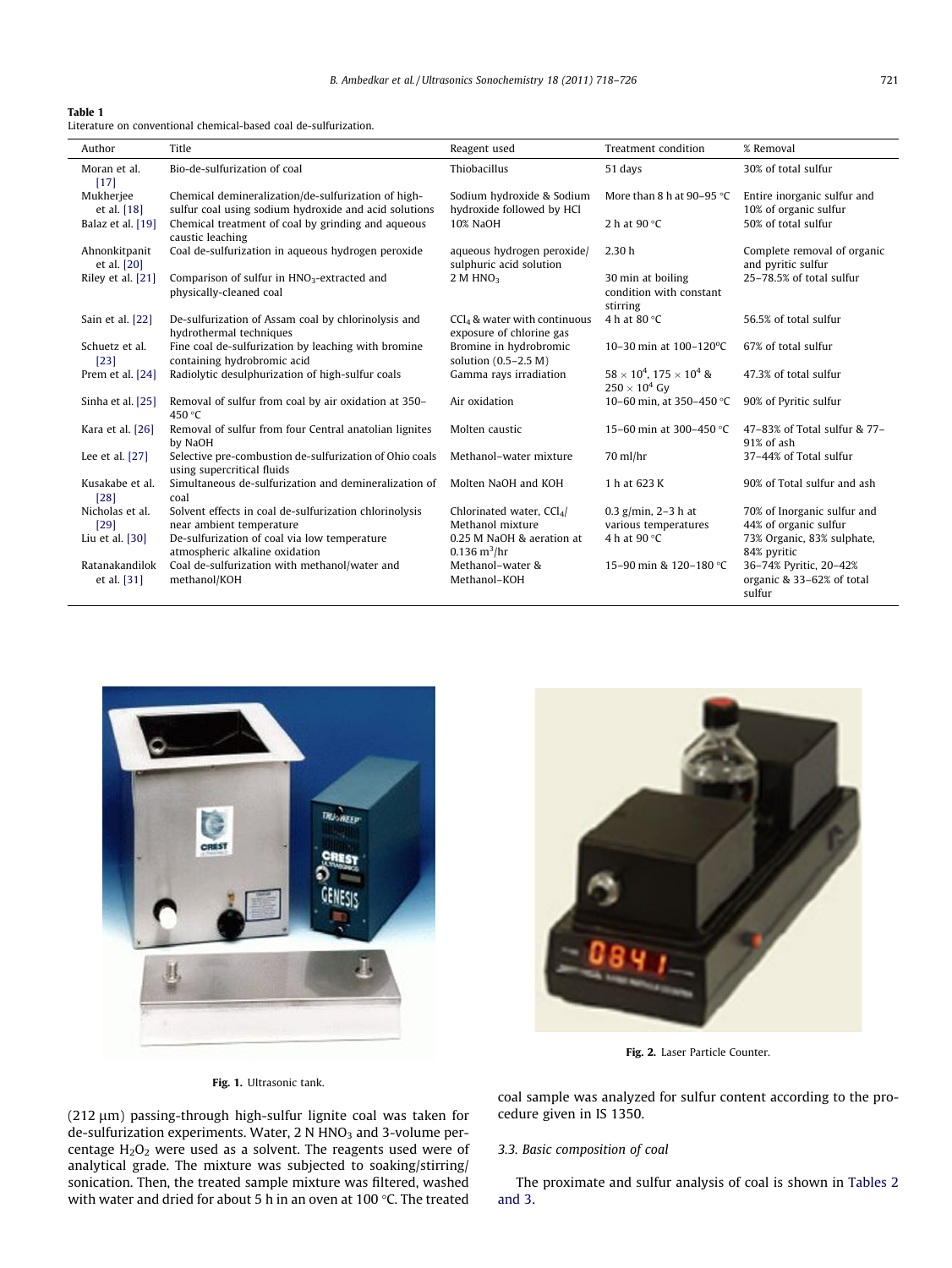## Table 1

Literature on conventional chemical-based coal de-sulfurization.

| Author                        | Title                                                                                                        | Reagent used                                               | Treatment condition                                            | % Removal                                                     |
|-------------------------------|--------------------------------------------------------------------------------------------------------------|------------------------------------------------------------|----------------------------------------------------------------|---------------------------------------------------------------|
| Moran et al.<br>$[17]$        | Bio-de-sulfurization of coal                                                                                 | Thiobacillus                                               | 51 days                                                        | 30% of total sulfur                                           |
| Mukherjee<br>et al. [18]      | Chemical demineralization/de-sulfurization of high-<br>sulfur coal using sodium hydroxide and acid solutions | Sodium hydroxide & Sodium<br>hydroxide followed by HCl     | More than 8 h at 90–95 $\degree$ C                             | Entire inorganic sulfur and<br>10% of organic sulfur          |
| Balaz et al. [19]             | Chemical treatment of coal by grinding and aqueous<br>caustic leaching                                       | <b>10% NaOH</b>                                            | 2 h at 90 $\degree$ C                                          | 50% of total sulfur                                           |
| Ahnonkitpanit<br>et al. [20]  | Coal de-sulfurization in aqueous hydrogen peroxide                                                           | aqueous hydrogen peroxide/<br>sulphuric acid solution      | 2.30h                                                          | Complete removal of organic<br>and pyritic sulfur             |
| Riley et al. [21]             | Comparison of sulfur in $HNO3$ -extracted and<br>physically-cleaned coal                                     | 2 M HNO <sub>3</sub>                                       | 30 min at boiling<br>condition with constant<br>stirring       | 25-78.5% of total sulfur                                      |
| Sain et al. [22]              | De-sulfurization of Assam coal by chlorinolysis and<br>hydrothermal techniques                               | $CCl4$ & water with continuous<br>exposure of chlorine gas | 4 h at 80 °C                                                   | 56.5% of total sulfur                                         |
| Schuetz et al.<br>$[23]$      | Fine coal de-sulfurization by leaching with bromine<br>containing hydrobromic acid                           | Bromine in hydrobromic<br>solution $(0.5-2.5 M)$           | 10-30 min at 100-120°C                                         | 67% of total sulfur                                           |
| Prem et al. [24]              | Radiolytic desulphurization of high-sulfur coals                                                             | Gamma rays irradiation                                     | $58 \times 10^4$ , $175 \times 10^4$ &<br>$250 \times 10^4$ Gy | 47.3% of total sulfur                                         |
| Sinha et al. [25]             | Removal of sulfur from coal by air oxidation at 350–<br>450 $\degree$ C                                      | Air oxidation                                              | 10-60 min, at 350-450 °C                                       | 90% of Pyritic sulfur                                         |
| Kara et al. [26]              | Removal of sulfur from four Central anatolian lignites<br>by NaOH                                            | Molten caustic                                             | 15-60 min at 300-450 °C                                        | 47-83% of Total sulfur & 77-<br>$91\%$ of ash                 |
| Lee et al. [27]               | Selective pre-combustion de-sulfurization of Ohio coals<br>using supercritical fluids                        | Methanol-water mixture                                     | $70$ ml/hr                                                     | 37-44% of Total sulfur                                        |
| Kusakabe et al.<br>$[28]$     | Simultaneous de-sulfurization and demineralization of<br>coal                                                | Molten NaOH and KOH                                        | 1 h at 623 K                                                   | 90% of Total sulfur and ash                                   |
| Nicholas et al.<br>[29]       | Solvent effects in coal de-sulfurization chlorinolysis<br>near ambient temperature                           | Chlorinated water, CCl <sub>4</sub> /<br>Methanol mixture  | 0.3 $g/min$ , 2-3 h at<br>various temperatures                 | 70% of Inorganic sulfur and<br>44% of organic sulfur          |
| Liu et al. [30]               | De-sulfurization of coal via low temperature<br>atmospheric alkaline oxidation                               | 0.25 M NaOH & aeration at<br>$0.136 \text{ m}^3/\text{hr}$ | 4 h at 90 °C                                                   | 73% Organic, 83% sulphate,<br>84% pyritic                     |
| Ratanakandilok<br>et al. [31] | Coal de-sulfurization with methanol/water and<br>methanol/KOH                                                | Methanol-water &<br>Methanol-KOH                           | 15-90 min & 120-180 °C                                         | 36-74% Pyritic, 20-42%<br>organic & 33-62% of total<br>sulfur |



Fig. 1. Ultrasonic tank.

 $(212 \mu m)$  passing-through high-sulfur lignite coal was taken for de-sulfurization experiments. Water, 2 N HNO<sub>3</sub> and 3-volume percentage  $H_2O_2$  were used as a solvent. The reagents used were of analytical grade. The mixture was subjected to soaking/stirring/ sonication. Then, the treated sample mixture was filtered, washed with water and dried for about 5 h in an oven at 100  $\degree$ C. The treated

Fig. 2. Laser Particle Counter.

coal sample was analyzed for sulfur content according to the procedure given in IS 1350.

## *3.3. Basic composition of coal*

The proximate and sulfur analysis of coal is shown in Tables 2 and 3.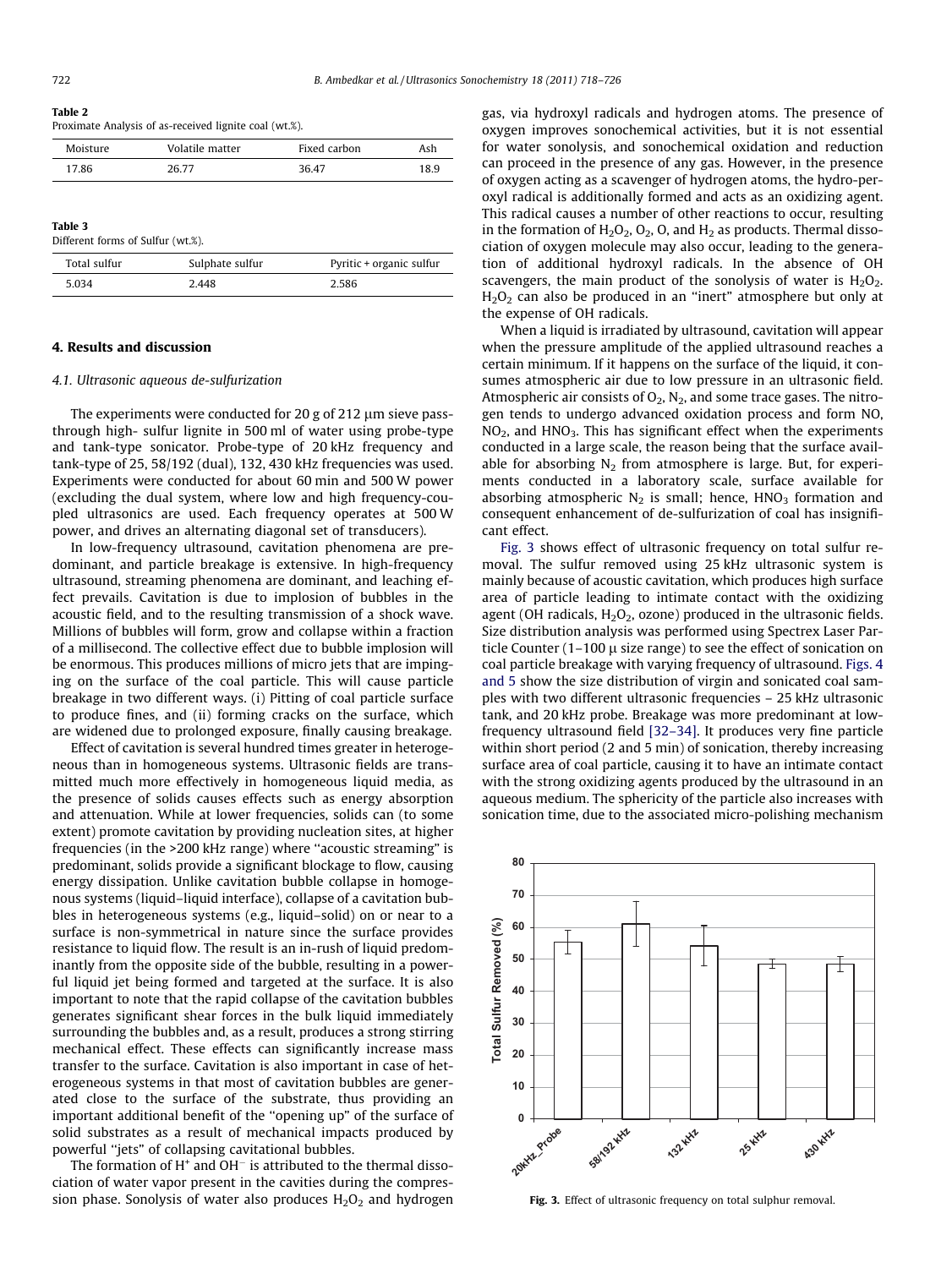#### Table 2

Proximate Analysis of as-received lignite coal (wt.%).

| Moisture | Volatile matter | Fixed carbon | Ash  |
|----------|-----------------|--------------|------|
| 17.86    | 26.77           | 36.47        | 18.9 |

#### Table 3

Different forms of Sulfur (wt.%).

| Total sulfur | Sulphate sulfur | Pyritic + organic sulfur |
|--------------|-----------------|--------------------------|
| 5.034        | 2.448           | 2.586                    |

#### 4. Results and discussion

### *4.1. Ultrasonic aqueous de-sulfurization*

The experiments were conducted for 20 g of 212  $\mu$ m sieve passthrough high- sulfur lignite in 500 ml of water using probe-type and tank-type sonicator. Probe-type of 20 kHz frequency and tank-type of 25, 58/192 (dual), 132, 430 kHz frequencies was used. Experiments were conducted for about 60 min and 500 W power (excluding the dual system, where low and high frequency-coupled ultrasonics are used. Each frequency operates at 500 W power, and drives an alternating diagonal set of transducers).

In low-frequency ultrasound, cavitation phenomena are predominant, and particle breakage is extensive. In high-frequency ultrasound, streaming phenomena are dominant, and leaching effect prevails. Cavitation is due to implosion of bubbles in the acoustic field, and to the resulting transmission of a shock wave. Millions of bubbles will form, grow and collapse within a fraction of a millisecond. The collective effect due to bubble implosion will be enormous. This produces millions of micro jets that are impinging on the surface of the coal particle. This will cause particle breakage in two different ways. (i) Pitting of coal particle surface to produce fines, and (ii) forming cracks on the surface, which are widened due to prolonged exposure, finally causing breakage.

Effect of cavitation is several hundred times greater in heterogeneous than in homogeneous systems. Ultrasonic fields are transmitted much more effectively in homogeneous liquid media, as the presence of solids causes effects such as energy absorption and attenuation. While at lower frequencies, solids can (to some extent) promote cavitation by providing nucleation sites, at higher frequencies (in the >200 kHz range) where ''acoustic streaming" is predominant, solids provide a significant blockage to flow, causing energy dissipation. Unlike cavitation bubble collapse in homogenous systems (liquid–liquid interface), collapse of a cavitation bubbles in heterogeneous systems (e.g., liquid–solid) on or near to a surface is non-symmetrical in nature since the surface provides resistance to liquid flow. The result is an in-rush of liquid predominantly from the opposite side of the bubble, resulting in a powerful liquid jet being formed and targeted at the surface. It is also important to note that the rapid collapse of the cavitation bubbles generates significant shear forces in the bulk liquid immediately surrounding the bubbles and, as a result, produces a strong stirring mechanical effect. These effects can significantly increase mass transfer to the surface. Cavitation is also important in case of heterogeneous systems in that most of cavitation bubbles are generated close to the surface of the substrate, thus providing an important additional benefit of the ''opening up" of the surface of solid substrates as a result of mechanical impacts produced by powerful ''jets" of collapsing cavitational bubbles.

The formation of  $H^+$  and OH $^-$  is attributed to the thermal dissociation of water vapor present in the cavities during the compression phase. Sonolysis of water also produces  $H_2O_2$  and hydrogen gas, via hydroxyl radicals and hydrogen atoms. The presence of oxygen improves sonochemical activities, but it is not essential for water sonolysis, and sonochemical oxidation and reduction can proceed in the presence of any gas. However, in the presence of oxygen acting as a scavenger of hydrogen atoms, the hydro-peroxyl radical is additionally formed and acts as an oxidizing agent. This radical causes a number of other reactions to occur, resulting in the formation of  $H_2O_2$ ,  $O_2$ ,  $O_3$ , and  $H_2$  as products. Thermal dissociation of oxygen molecule may also occur, leading to the generation of additional hydroxyl radicals. In the absence of OH scavengers, the main product of the sonolysis of water is  $H_2O_2$ .  $H<sub>2</sub>O<sub>2</sub>$  can also be produced in an "inert" atmosphere but only at the expense of OH radicals.

When a liquid is irradiated by ultrasound, cavitation will appear when the pressure amplitude of the applied ultrasound reaches a certain minimum. If it happens on the surface of the liquid, it consumes atmospheric air due to low pressure in an ultrasonic field. Atmospheric air consists of  $O_2$ ,  $N_2$ , and some trace gases. The nitrogen tends to undergo advanced oxidation process and form NO,  $NO<sub>2</sub>$ , and HNO<sub>3</sub>. This has significant effect when the experiments conducted in a large scale, the reason being that the surface available for absorbing  $N_2$  from atmosphere is large. But, for experiments conducted in a laboratory scale, surface available for absorbing atmospheric  $N_2$  is small; hence, HNO<sub>3</sub> formation and consequent enhancement of de-sulfurization of coal has insignificant effect.

Fig. 3 shows effect of ultrasonic frequency on total sulfur removal. The sulfur removed using 25 kHz ultrasonic system is mainly because of acoustic cavitation, which produces high surface area of particle leading to intimate contact with the oxidizing agent (OH radicals,  $H_2O_2$ , ozone) produced in the ultrasonic fields. Size distribution analysis was performed using Spectrex Laser Particle Counter  $(1-100 \mu \text{ size range})$  to see the effect of sonication on coal particle breakage with varying frequency of ultrasound. Figs. 4 and 5 show the size distribution of virgin and sonicated coal samples with two different ultrasonic frequencies – 25 kHz ultrasonic tank, and 20 kHz probe. Breakage was more predominant at lowfrequency ultrasound field [32–34]. It produces very fine particle within short period (2 and 5 min) of sonication, thereby increasing surface area of coal particle, causing it to have an intimate contact with the strong oxidizing agents produced by the ultrasound in an aqueous medium. The sphericity of the particle also increases with sonication time, due to the associated micro-polishing mechanism



Fig. 3. Effect of ultrasonic frequency on total sulphur removal.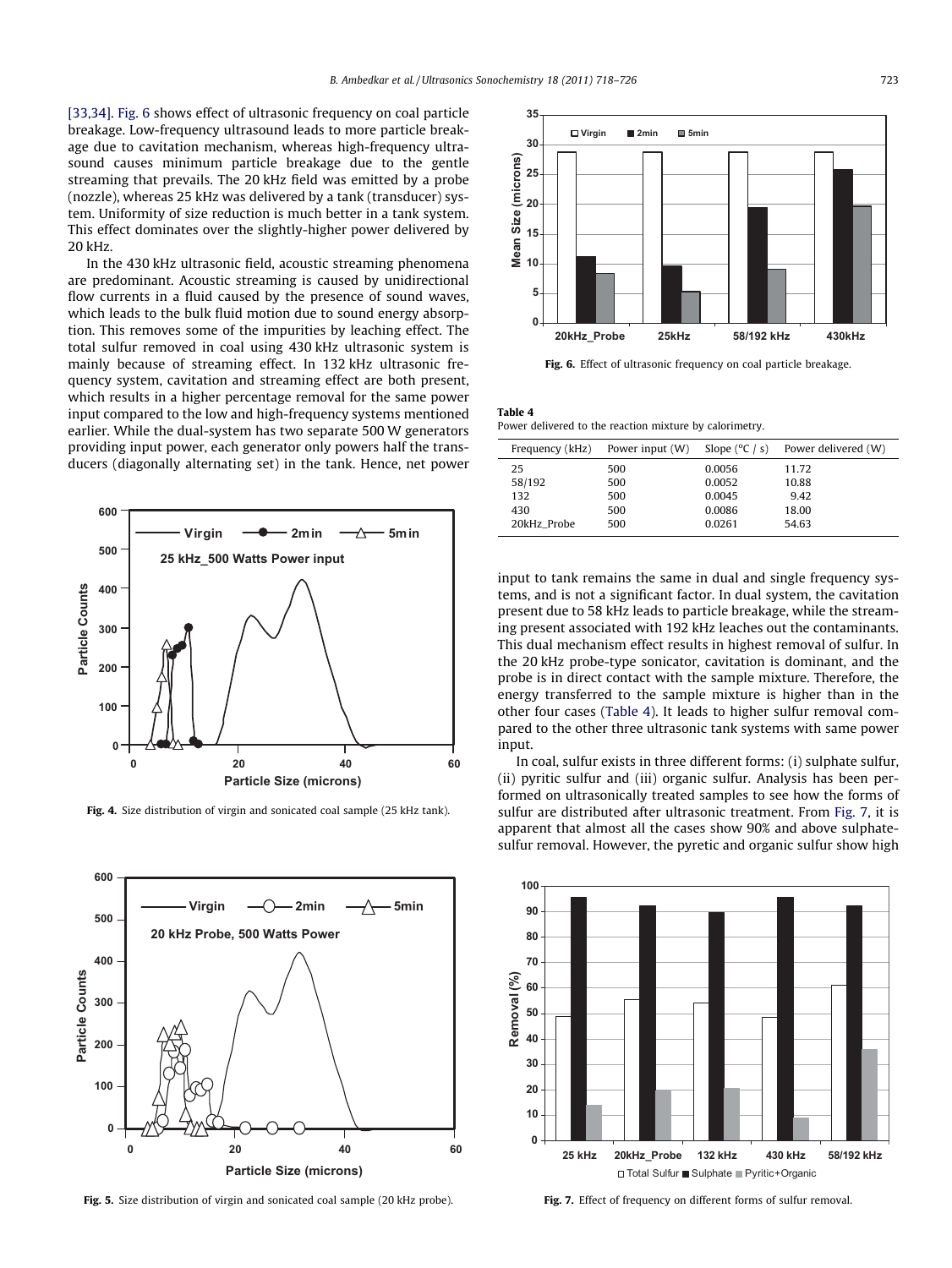[33,34]. Fig. 6 shows effect of ultrasonic frequency on coal particle breakage. Low-frequency ultrasound leads to more particle breakage due to cavitation mechanism, whereas high-frequency ultrasound causes minimum particle breakage due to the gentle streaming that prevails. The 20 kHz field was emitted by a probe (nozzle), whereas 25 kHz was delivered by a tank (transducer) system. Uniformity of size reduction is much better in a tank system. This effect dominates over the slightly-higher power delivered by 20 kHz.

In the 430 kHz ultrasonic field, acoustic streaming phenomena are predominant. Acoustic streaming is caused by unidirectional flow currents in a fluid caused by the presence of sound waves, which leads to the bulk fluid motion due to sound energy absorption. This removes some of the impurities by leaching effect. The total sulfur removed in coal using 430 kHz ultrasonic system is mainly because of streaming effect. In 132 kHz ultrasonic frequency system, cavitation and streaming effect are both present, which results in a higher percentage removal for the same power input compared to the low and high-frequency systems mentioned earlier. While the dual-system has two separate 500 W generators providing input power, each generator only powers half the transducers (diagonally alternating set) in the tank. Hence, net power



Fig. 4. Size distribution of virgin and sonicated coal sample (25 kHz tank).



Fig. 5. Size distribution of virgin and sonicated coal sample (20 kHz probe).



Fig. 6. Effect of ultrasonic frequency on coal particle breakage.

Table 4 Power delivered to the reaction mixture by calorimetry.

| Frequency (kHz) | Power input (W) | Slope ( $\rm{^{\circ}C}$ / s) | Power delivered (W) |
|-----------------|-----------------|-------------------------------|---------------------|
| 25              | 500             | 0.0056                        | 11.72               |
| 58/192          | 500             | 0.0052                        | 10.88               |
| 132             | 500             | 0.0045                        | 9.42                |
| 430             | 500             | 0.0086                        | 18.00               |
| 20kHz Probe     | 500             | 0.0261                        | 54.63               |

input to tank remains the same in dual and single frequency systems, and is not a significant factor. In dual system, the cavitation present due to 58 kHz leads to particle breakage, while the streaming present associated with 192 kHz leaches out the contaminants. This dual mechanism effect results in highest removal of sulfur. In the 20 kHz probe-type sonicator, cavitation is dominant, and the probe is in direct contact with the sample mixture. Therefore, the energy transferred to the sample mixture is higher than in the other four cases (Table 4). It leads to higher sulfur removal compared to the other three ultrasonic tank systems with same power input.

In coal, sulfur exists in three different forms: (i) sulphate sulfur, (ii) pyritic sulfur and (iii) organic sulfur. Analysis has been performed on ultrasonically treated samples to see how the forms of sulfur are distributed after ultrasonic treatment. From Fig. 7, it is apparent that almost all the cases show 90% and above sulphatesulfur removal. However, the pyretic and organic sulfur show high



Fig. 7. Effect of frequency on different forms of sulfur removal.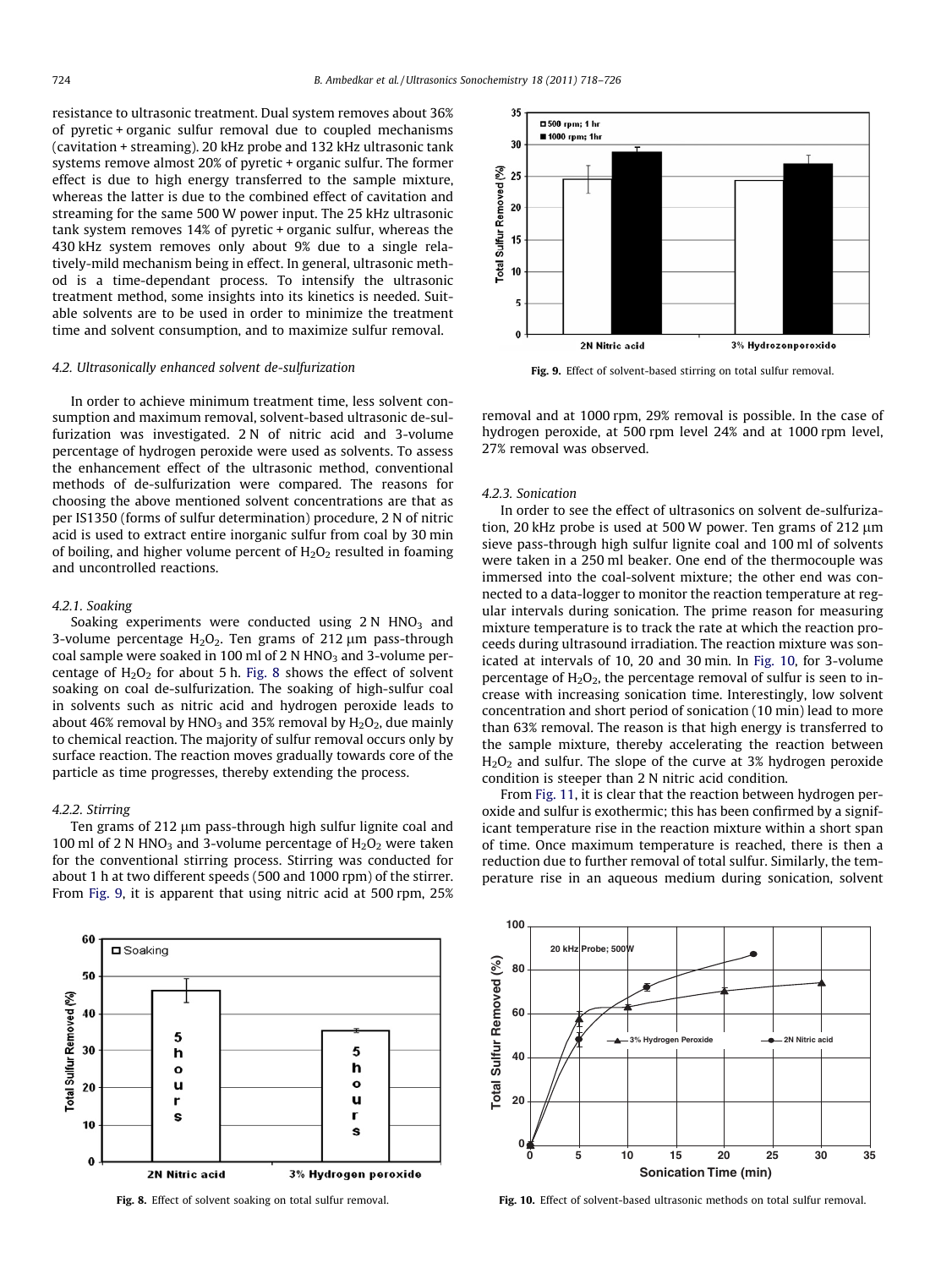resistance to ultrasonic treatment. Dual system removes about 36% of pyretic + organic sulfur removal due to coupled mechanisms (cavitation + streaming). 20 kHz probe and 132 kHz ultrasonic tank systems remove almost 20% of pyretic + organic sulfur. The former effect is due to high energy transferred to the sample mixture, whereas the latter is due to the combined effect of cavitation and streaming for the same 500 W power input. The 25 kHz ultrasonic tank system removes 14% of pyretic + organic sulfur, whereas the 430 kHz system removes only about 9% due to a single relatively-mild mechanism being in effect. In general, ultrasonic method is a time-dependant process. To intensify the ultrasonic treatment method, some insights into its kinetics is needed. Suitable solvents are to be used in order to minimize the treatment time and solvent consumption, and to maximize sulfur removal.

## *4.2. Ultrasonically enhanced solvent de-sulfurization*

In order to achieve minimum treatment time, less solvent consumption and maximum removal, solvent-based ultrasonic de-sulfurization was investigated. 2 N of nitric acid and 3-volume percentage of hydrogen peroxide were used as solvents. To assess the enhancement effect of the ultrasonic method, conventional methods of de-sulfurization were compared. The reasons for choosing the above mentioned solvent concentrations are that as per IS1350 (forms of sulfur determination) procedure, 2 N of nitric acid is used to extract entire inorganic sulfur from coal by 30 min of boiling, and higher volume percent of  $H_2O_2$  resulted in foaming and uncontrolled reactions.

## *4.2.1. Soaking*

Soaking experiments were conducted using  $2 N HNO<sub>3</sub>$  and 3-volume percentage  $H_2O_2$ . Ten grams of 212  $\mu$ m pass-through coal sample were soaked in 100 ml of 2 N  $HNO<sub>3</sub>$  and 3-volume percentage of  $H_2O_2$  for about 5 h. Fig. 8 shows the effect of solvent soaking on coal de-sulfurization. The soaking of high-sulfur coal in solvents such as nitric acid and hydrogen peroxide leads to about 46% removal by HNO<sub>3</sub> and 35% removal by  $H_2O_2$ , due mainly to chemical reaction. The majority of sulfur removal occurs only by surface reaction. The reaction moves gradually towards core of the particle as time progresses, thereby extending the process.

#### *4.2.2. Stirring*

Ten grams of 212 µm pass-through high sulfur lignite coal and 100 ml of 2 N HNO<sub>3</sub> and 3-volume percentage of  $H_2O_2$  were taken for the conventional stirring process. Stirring was conducted for about 1 h at two different speeds (500 and 1000 rpm) of the stirrer. From Fig. 9, it is apparent that using nitric acid at 500 rpm, 25%



Fig. 8. Effect of solvent soaking on total sulfur removal.



Fig. 9. Effect of solvent-based stirring on total sulfur removal.

removal and at 1000 rpm, 29% removal is possible. In the case of hydrogen peroxide, at 500 rpm level 24% and at 1000 rpm level, 27% removal was observed.

### *4.2.3. Sonication*

In order to see the effect of ultrasonics on solvent de-sulfurization, 20 kHz probe is used at 500 W power. Ten grams of 212  $\mu$ m sieve pass-through high sulfur lignite coal and 100 ml of solvents were taken in a 250 ml beaker. One end of the thermocouple was immersed into the coal-solvent mixture; the other end was connected to a data-logger to monitor the reaction temperature at regular intervals during sonication. The prime reason for measuring mixture temperature is to track the rate at which the reaction proceeds during ultrasound irradiation. The reaction mixture was sonicated at intervals of 10, 20 and 30 min. In Fig. 10, for 3-volume percentage of  $H_2O_2$ , the percentage removal of sulfur is seen to increase with increasing sonication time. Interestingly, low solvent concentration and short period of sonication (10 min) lead to more than 63% removal. The reason is that high energy is transferred to the sample mixture, thereby accelerating the reaction between  $H<sub>2</sub>O<sub>2</sub>$  and sulfur. The slope of the curve at 3% hydrogen peroxide condition is steeper than 2 N nitric acid condition.

From Fig. 11, it is clear that the reaction between hydrogen peroxide and sulfur is exothermic; this has been confirmed by a significant temperature rise in the reaction mixture within a short span of time. Once maximum temperature is reached, there is then a reduction due to further removal of total sulfur. Similarly, the temperature rise in an aqueous medium during sonication, solvent



Fig. 10. Effect of solvent-based ultrasonic methods on total sulfur removal.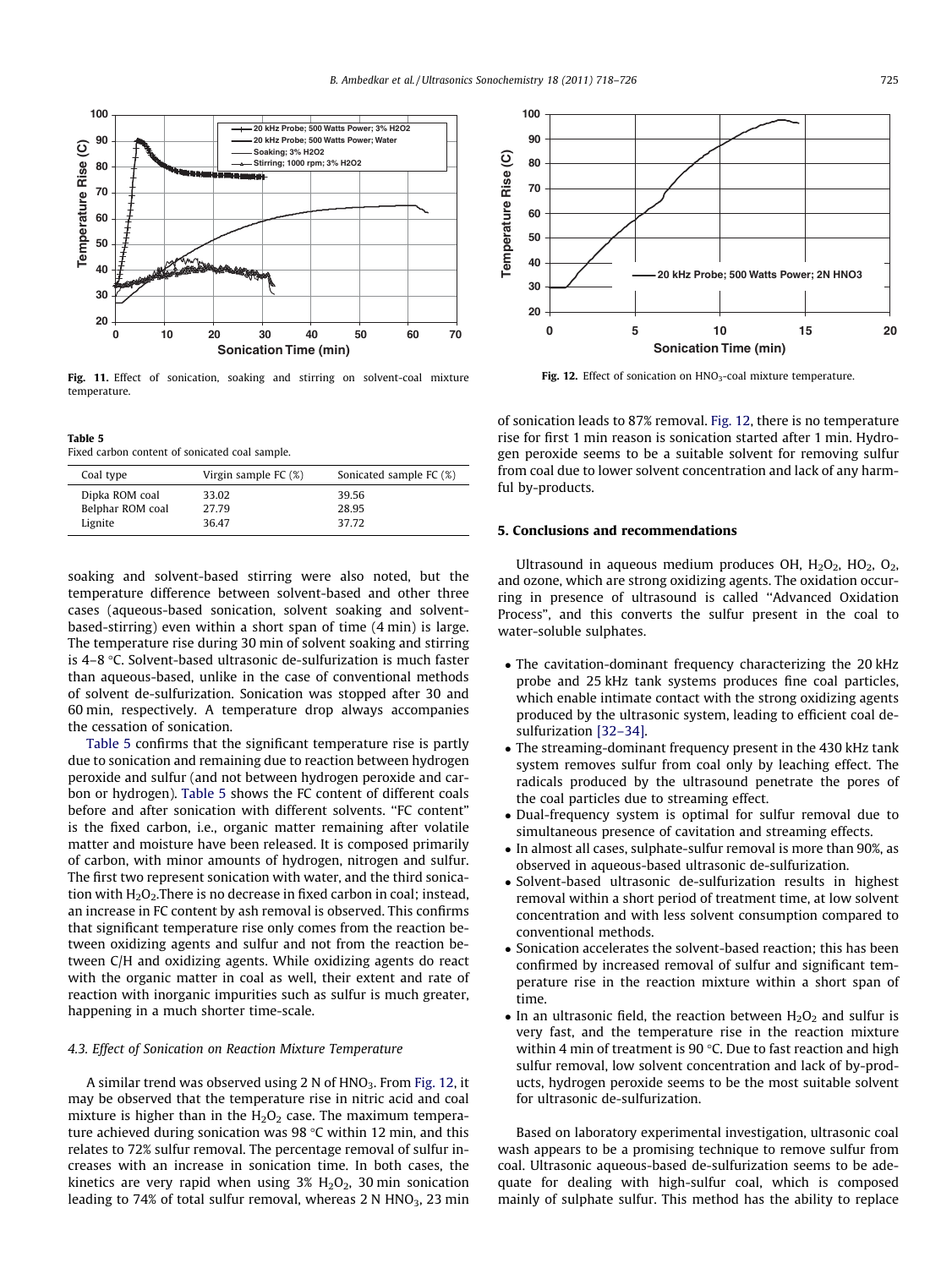

Fig. 11. Effect of sonication, soaking and stirring on solvent-coal mixture temperature.

Table 5 Fixed carbon content of sonicated coal sample.

| Coal type        | Virgin sample FC (%) | Sonicated sample FC (%) |
|------------------|----------------------|-------------------------|
| Dipka ROM coal   | 33.02                | 39.56                   |
| Belphar ROM coal | 27.79                | 28.95                   |
| Lignite          | 36.47                | 37.72                   |

soaking and solvent-based stirring were also noted, but the temperature difference between solvent-based and other three cases (aqueous-based sonication, solvent soaking and solventbased-stirring) even within a short span of time (4 min) is large. The temperature rise during 30 min of solvent soaking and stirring is  $4-8$  °C. Solvent-based ultrasonic de-sulfurization is much faster than aqueous-based, unlike in the case of conventional methods of solvent de-sulfurization. Sonication was stopped after 30 and 60 min, respectively. A temperature drop always accompanies the cessation of sonication.

Table 5 confirms that the significant temperature rise is partly due to sonication and remaining due to reaction between hydrogen peroxide and sulfur (and not between hydrogen peroxide and carbon or hydrogen). Table 5 shows the FC content of different coals before and after sonication with different solvents. ''FC content" is the fixed carbon, i.e., organic matter remaining after volatile matter and moisture have been released. It is composed primarily of carbon, with minor amounts of hydrogen, nitrogen and sulfur. The first two represent sonication with water, and the third sonication with  $H_2O_2$ . There is no decrease in fixed carbon in coal; instead, an increase in FC content by ash removal is observed. This confirms that significant temperature rise only comes from the reaction between oxidizing agents and sulfur and not from the reaction between C/H and oxidizing agents. While oxidizing agents do react with the organic matter in coal as well, their extent and rate of reaction with inorganic impurities such as sulfur is much greater, happening in a much shorter time-scale.

#### *4.3. Effect of Sonication on Reaction Mixture Temperature*

A similar trend was observed using 2 N of  $HNO<sub>3</sub>$ . From Fig. 12, it may be observed that the temperature rise in nitric acid and coal mixture is higher than in the  $H_2O_2$  case. The maximum temperature achieved during sonication was 98  $\degree$ C within 12 min, and this relates to 72% sulfur removal. The percentage removal of sulfur increases with an increase in sonication time. In both cases, the kinetics are very rapid when using  $3\%$  H<sub>2</sub>O<sub>2</sub>, 30 min sonication leading to 74% of total sulfur removal, whereas  $2 \text{ N HNO}_3$ ,  $23 \text{ min}$ 



Fig. 12. Effect of sonication on  $HNO<sub>3</sub>$ -coal mixture temperature.

of sonication leads to 87% removal. Fig. 12, there is no temperature rise for first 1 min reason is sonication started after 1 min. Hydrogen peroxide seems to be a suitable solvent for removing sulfur from coal due to lower solvent concentration and lack of any harmful by-products.

## 5. Conclusions and recommendations

Ultrasound in aqueous medium produces OH,  $H_2O_2$ ,  $HO_2$ ,  $O_2$ , and ozone, which are strong oxidizing agents. The oxidation occurring in presence of ultrasound is called ''Advanced Oxidation Process", and this converts the sulfur present in the coal to water-soluble sulphates.

- The cavitation-dominant frequency characterizing the 20 kHz probe and 25 kHz tank systems produces fine coal particles, which enable intimate contact with the strong oxidizing agents produced by the ultrasonic system, leading to efficient coal desulfurization [32–34].
- The streaming-dominant frequency present in the 430 kHz tank system removes sulfur from coal only by leaching effect. The radicals produced by the ultrasound penetrate the pores of the coal particles due to streaming effect.
- Dual-frequency system is optimal for sulfur removal due to simultaneous presence of cavitation and streaming effects.
- In almost all cases, sulphate-sulfur removal is more than 90%, as observed in aqueous-based ultrasonic de-sulfurization.
- Solvent-based ultrasonic de-sulfurization results in highest removal within a short period of treatment time, at low solvent concentration and with less solvent consumption compared to conventional methods.
- Sonication accelerates the solvent-based reaction; this has been confirmed by increased removal of sulfur and significant temperature rise in the reaction mixture within a short span of time.
- In an ultrasonic field, the reaction between  $H_2O_2$  and sulfur is very fast, and the temperature rise in the reaction mixture within 4 min of treatment is 90  $\degree$ C. Due to fast reaction and high sulfur removal, low solvent concentration and lack of by-products, hydrogen peroxide seems to be the most suitable solvent for ultrasonic de-sulfurization.

Based on laboratory experimental investigation, ultrasonic coal wash appears to be a promising technique to remove sulfur from coal. Ultrasonic aqueous-based de-sulfurization seems to be adequate for dealing with high-sulfur coal, which is composed mainly of sulphate sulfur. This method has the ability to replace